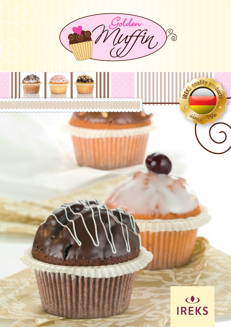





ilsun

Since 185

**IREK**